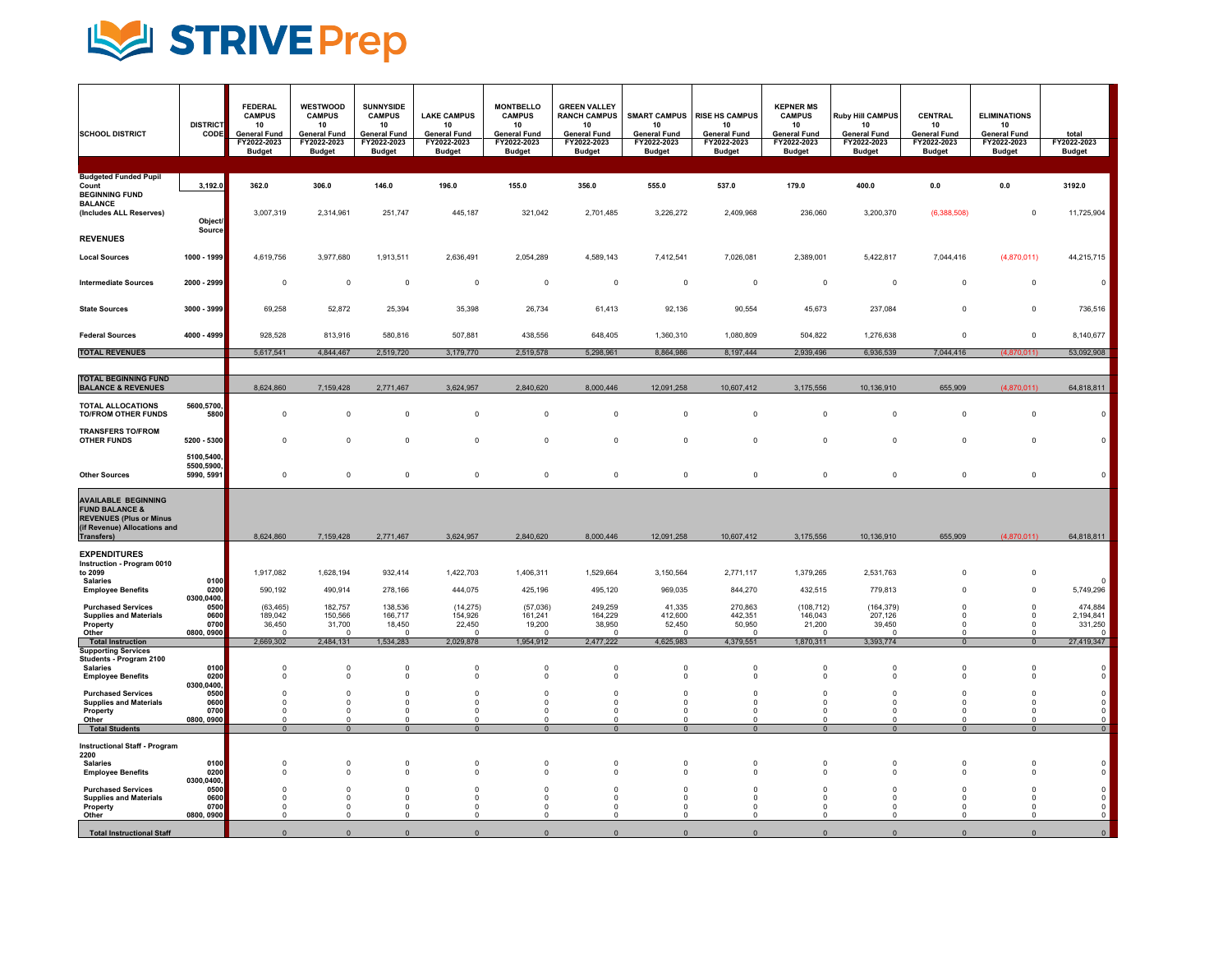

| <b>SCHOOL DISTRICT</b>                                                                                                                   | <b>DISTRICT</b><br>CODE                | <b>FEDERAL</b><br><b>CAMPUS</b><br>10<br><b>General Fund</b><br>FY2022-2023<br><b>Budget</b> | <b>WESTWOOD</b><br><b>CAMPUS</b><br>10<br><b>General Fund</b><br>FY2022-2023<br><b>Budget</b> | <b>SUNNYSIDE</b><br><b>CAMPUS</b><br>10<br><b>General Fund</b><br>FY2022-2023<br><b>Budget</b> | <b>LAKE CAMPUS</b><br>10<br><b>General Fund</b><br>FY2022-2023<br><b>Budget</b> | <b>MONTBELLO</b><br><b>CAMPUS</b><br>10<br><b>General Fund</b><br>FY2022-2023<br><b>Budget</b> | <b>GREEN VALLEY</b><br><b>RANCH CAMPUS</b><br>10<br><b>General Fund</b><br>FY2022-2023<br><b>Budget</b> | <b>SMART CAMPUS</b><br>10<br><b>General Fund</b><br>FY2022-2023<br><b>Budget</b> | <b>RISE HS CAMPUS</b><br>10<br><b>General Fund</b><br>FY2022-2023<br><b>Budget</b> | <b>KEPNER MS</b><br><b>CAMPUS</b><br>10<br><b>General Fund</b><br>FY2022-2023<br><b>Budget</b> | <b>Ruby Hill CAMPUS</b><br>10<br><b>General Fund</b><br>FY2022-2023<br><b>Budget</b> | CENTRAL<br>10<br><b>General Fund</b><br>FY2022-2023<br><b>Budget</b> | <b>ELIMINATIONS</b><br>10<br><b>General Fund</b><br>FY2022-2023<br><b>Budget</b> | total<br>FY2022-2023<br><b>Budget</b>                        |
|------------------------------------------------------------------------------------------------------------------------------------------|----------------------------------------|----------------------------------------------------------------------------------------------|-----------------------------------------------------------------------------------------------|------------------------------------------------------------------------------------------------|---------------------------------------------------------------------------------|------------------------------------------------------------------------------------------------|---------------------------------------------------------------------------------------------------------|----------------------------------------------------------------------------------|------------------------------------------------------------------------------------|------------------------------------------------------------------------------------------------|--------------------------------------------------------------------------------------|----------------------------------------------------------------------|----------------------------------------------------------------------------------|--------------------------------------------------------------|
|                                                                                                                                          |                                        |                                                                                              |                                                                                               |                                                                                                |                                                                                 |                                                                                                |                                                                                                         |                                                                                  |                                                                                    |                                                                                                |                                                                                      |                                                                      |                                                                                  |                                                              |
| <b>Budgeted Funded Pupil</b><br>Count<br><b>BEGINNING FUND</b><br><b>BALANCE</b>                                                         | 3.192.0                                | 362.0                                                                                        | 306.0                                                                                         | 146.0                                                                                          | 196.0                                                                           | 155.0                                                                                          | 356.0                                                                                                   | 555.0                                                                            | 537.0                                                                              | 179.0                                                                                          | 400.0                                                                                | 0.0                                                                  | 0.0                                                                              | 3192.0                                                       |
| (Includes ALL Reserves)<br><b>REVENUES</b>                                                                                               | Object/<br>Source                      | 3,007,319                                                                                    | 2,314,961                                                                                     | 251,747                                                                                        | 445,187                                                                         | 321,042                                                                                        | 2,701,485                                                                                               | 3,226,272                                                                        | 2,409,968                                                                          | 236,060                                                                                        | 3,200,370                                                                            | (6,388,508)                                                          | $\mathbf 0$                                                                      | 11,725,904                                                   |
| <b>Local Sources</b>                                                                                                                     | 1000 - 1999                            | 4,619,756                                                                                    | 3.977.680                                                                                     | 1,913,511                                                                                      | 2,636,491                                                                       | 2,054,289                                                                                      | 4,589,143                                                                                               | 7,412,541                                                                        | 7,026,081                                                                          | 2,389,001                                                                                      | 5,422,817                                                                            | 7.044.416                                                            | (4,870,011)                                                                      | 44,215,715                                                   |
| <b>Intermediate Sources</b>                                                                                                              | 2000 - 2999                            | $\mathbf 0$                                                                                  | 0                                                                                             | $\overline{0}$                                                                                 | $\mathbf 0$                                                                     | $\mathbf 0$                                                                                    | $\mathbf 0$                                                                                             | $\mathbf 0$                                                                      | $\mathbf 0$                                                                        | $\overline{0}$                                                                                 | $^{\circ}$                                                                           | $^{\circ}$                                                           | $\mathbf 0$                                                                      | $\mathsf 0$                                                  |
| <b>State Sources</b>                                                                                                                     | 3000 - 3999                            | 69,258                                                                                       | 52,872                                                                                        | 25,394                                                                                         | 35,398                                                                          | 26,734                                                                                         | 61,413                                                                                                  | 92,136                                                                           | 90,554                                                                             | 45,673                                                                                         | 237,084                                                                              | $^{\circ}$                                                           | $\mathsf 0$                                                                      | 736,516                                                      |
| <b>Federal Sources</b>                                                                                                                   | 4000 - 4999                            | 928,528                                                                                      | 813,916                                                                                       | 580,816                                                                                        | 507,881                                                                         | 438,556                                                                                        | 648,405                                                                                                 | 1,360,310                                                                        | 1,080,809                                                                          | 504,822                                                                                        | 1,276,638                                                                            | $^{\circ}$                                                           | $\mathsf 0$                                                                      | 8,140,677                                                    |
| <b>TOTAL REVENUES</b>                                                                                                                    |                                        | 5,617,541                                                                                    | 4,844,467                                                                                     | 2,519,720                                                                                      | 3,179,770                                                                       | 2,519,578                                                                                      | 5,298,961                                                                                               | 8,864,986                                                                        | 8,197,444                                                                          | 2,939,496                                                                                      | 6,936,539                                                                            | 7,044,416                                                            | (4.870.011                                                                       | 53,092,908                                                   |
|                                                                                                                                          |                                        |                                                                                              |                                                                                               |                                                                                                |                                                                                 |                                                                                                |                                                                                                         |                                                                                  |                                                                                    |                                                                                                |                                                                                      |                                                                      |                                                                                  |                                                              |
| <b>TOTAL BEGINNING FUND</b><br><b>BALANCE &amp; REVENUES</b>                                                                             |                                        | 8,624,860                                                                                    | 7,159,428                                                                                     | 2,771,467                                                                                      | 3,624,957                                                                       | 2,840,620                                                                                      | 8,000,446                                                                                               | 12,091,258                                                                       | 10,607,412                                                                         | 3,175,556                                                                                      | 10,136,910                                                                           | 655,909                                                              | (4,870,011)                                                                      | 64,818,811                                                   |
| <b>TOTAL ALLOCATIONS</b><br><b>TO/FROM OTHER FUNDS</b>                                                                                   | 5600,5700<br>5800                      | $\Omega$                                                                                     | $\mathbf 0$                                                                                   | $\mathbf 0$                                                                                    | $\mathbf 0$                                                                     | $\mathbf 0$                                                                                    | $\mathsf 0$                                                                                             | $\mathbb O$                                                                      | $\mathsf 0$                                                                        | $\Omega$                                                                                       | $\Omega$                                                                             | $^{\circ}$                                                           | $\mathsf 0$                                                                      | $\mathsf 0$                                                  |
| <b>TRANSFERS TO/FROM</b><br><b>OTHER FUNDS</b>                                                                                           | 5200 - 5300                            | $^{\circ}$                                                                                   | $\mathbf 0$                                                                                   | $\mathbf 0$                                                                                    | $^{\circ}$                                                                      | $\mathbf 0$                                                                                    | $\mathbf 0$                                                                                             | $\mathbf 0$                                                                      | $\mathbf 0$                                                                        | $\mathbf 0$                                                                                    | $^{\circ}$                                                                           | $\mathbf 0$                                                          | $\overline{0}$                                                                   | $\pmb{0}$                                                    |
| <b>Other Sources</b>                                                                                                                     | 5100,5400,<br>5500,5900,<br>5990, 5991 | $^{\circ}$                                                                                   | $\mathsf 0$                                                                                   | $\mathbf 0$                                                                                    | $\mathsf 0$                                                                     | $\mathbf 0$                                                                                    | $\mathsf 0$                                                                                             | $\mathbb O$                                                                      | $\mathsf 0$                                                                        | $\Omega$                                                                                       | $\Omega$                                                                             | $^{\circ}$                                                           | $\mathsf 0$                                                                      | $\mathsf{O}$                                                 |
| <b>AVAILABLE BEGINNING</b><br><b>FUND BALANCE &amp;</b><br><b>REVENUES (Plus or Minus<br/>(if Revenue) Allocations and</b><br>Transfers) |                                        | 8,624,860                                                                                    | 7,159,428                                                                                     | 2,771,467                                                                                      | 3,624,957                                                                       | 2,840,620                                                                                      | 8,000,446                                                                                               | 12,091,258                                                                       | 10,607,412                                                                         | 3,175,556                                                                                      | 10,136,910                                                                           | 655,909                                                              | (4,870,011)                                                                      | 64,818,811                                                   |
| <b>EXPENDITURES</b><br>Instruction - Program 0010<br>to 2099<br><b>Salaries</b>                                                          | 0100                                   | 1,917,082                                                                                    | 1,628,194                                                                                     | 932,414                                                                                        | 1,422,703                                                                       | 1,406,311                                                                                      | 1,529,664                                                                                               | 3,150,564                                                                        | 2,771,117                                                                          | 1,379,265                                                                                      | 2,531,763                                                                            | $\Omega$                                                             | $\mathsf 0$                                                                      | $\Omega$                                                     |
| <b>Employee Benefits</b>                                                                                                                 | 0200<br>0300,0400,                     | 590,192                                                                                      | 490,914                                                                                       | 278,166                                                                                        | 444,075                                                                         | 425,196                                                                                        | 495,120                                                                                                 | 969,035                                                                          | 844,270                                                                            | 432,515                                                                                        | 779,813                                                                              | $\Omega$                                                             | $\mathbf 0$                                                                      | 5,749,296                                                    |
| <b>Purchased Services</b><br><b>Supplies and Materials</b><br>Property<br>Other                                                          | 0500<br>0600<br>0700<br>0800, 0900     | (63, 465)<br>189,042<br>36,450<br>$\Omega$                                                   | 182,757<br>150,566<br>31,700<br>$\Omega$                                                      | 138,536<br>166,717<br>18,450<br>$\Omega$                                                       | (14, 275)<br>154,926<br>22,450<br>$\Omega$                                      | (57,036)<br>161,241<br>19,200<br>$\Omega$                                                      | 249,259<br>164,229<br>38,950<br>$\Omega$                                                                | 41,335<br>412,600<br>52,450<br>$\Omega$                                          | 270,863<br>442,351<br>50,950<br>$\Omega$                                           | (108, 712)<br>146,043<br>21,200<br>$\mathfrak{c}$                                              | (164, 379)<br>207,126<br>39,450                                                      | $\mathbf 0$<br>$\mathbf 0$<br>$\Omega$<br>$\Omega$                   | $\mathbf 0$<br>$\mathsf 0$<br>$\overline{0}$<br>$\Omega$                         | 474,884<br>2,194,841<br>331,250<br>$\Omega$                  |
| Total Instruction                                                                                                                        |                                        | 2,669,302                                                                                    | 2.484.131                                                                                     | 1.534.283                                                                                      | 2,029,878                                                                       | 1.954.912                                                                                      | 2.477.222                                                                                               | 4.625.983                                                                        | 4,379,551                                                                          | 1,870,311                                                                                      | 3,393,774                                                                            | $\Omega$                                                             | $\Omega$                                                                         | 27,419,347                                                   |
| <b>Supporting Services</b><br>Students - Program 2100<br><b>Salaries</b><br><b>Employee Benefits</b>                                     | 0100<br>0200                           | $\Omega$<br>$\Omega$                                                                         | 0<br>$\mathbf 0$                                                                              | $\overline{0}$<br>$\overline{0}$                                                               | $\mathbf 0$<br>$\mathbf 0$                                                      | 0<br>$\mathbf 0$                                                                               | $^{\circ}$<br>$\mathbf 0$                                                                               | $^{\circ}$<br>$\mathbb O$                                                        | $\mathbf 0$<br>$^{\circ}$                                                          | $^{\circ}$<br>$^{\circ}$                                                                       | $\Omega$<br>$\Omega$                                                                 | $\mathbf 0$<br>$\mathbf 0$                                           | $^{\circ}$<br>$\mathbf 0$                                                        | $\mathsf 0$<br>$\mathbf 0$                                   |
| <b>Purchased Services</b><br><b>Supplies and Materials</b><br>Property                                                                   | 0300,0400,<br>0500<br>0600<br>0700     | $\Omega$<br>$\Omega$<br>$^{\circ}$                                                           | $\mathbf 0$<br>$\Omega$<br>0                                                                  | $\Omega$<br>$\Omega$<br>$\mathbf 0$                                                            | $^{\circ}$<br>$\Omega$<br>0                                                     | $\mathbf 0$<br>$\Omega$<br>$^{\circ}$                                                          | $\Omega$<br>$\Omega$<br>$^{\circ}$                                                                      | $\Omega$<br>$\Omega$<br>$^{\circ}$                                               | $\Omega$<br>$\Omega$<br>$\mathbf 0$                                                | $\Omega$<br>$\Omega$<br>$^{\circ}$                                                             | $\Omega$<br>$\Omega$<br>$\Omega$                                                     | $\Omega$<br>$\Omega$<br>$^{\circ}$                                   | $\Omega$<br>$\Omega$<br>$^{\circ}$                                               | $\mathbf 0$<br>$\begin{matrix} 0 \\ 0 \\ 0 \end{matrix}$     |
| Other                                                                                                                                    | 0800, 0900                             | $\Omega$<br>$\overline{0}$                                                                   | $\mathbf 0$<br>$\Omega$                                                                       | $\mathbf 0$<br>$\Omega$                                                                        | $\mathbf 0$<br>$\Omega$                                                         | $\mathbf 0$<br>$\overline{0}$                                                                  | $\mathsf 0$<br>$\overline{0}$                                                                           | $\mathbb O$<br>$\Omega$                                                          | $\Omega$<br>$\Omega$                                                               | $\Omega$<br>$\Omega$                                                                           | $\Omega$<br>$\Omega$                                                                 | $\Omega$<br>$\Omega$                                                 | $^{\circ}$<br>$\overline{0}$                                                     | $\circ$                                                      |
| Total Students<br><b>Instructional Staff - Program</b><br>2200                                                                           |                                        |                                                                                              |                                                                                               |                                                                                                |                                                                                 |                                                                                                |                                                                                                         |                                                                                  |                                                                                    |                                                                                                |                                                                                      |                                                                      |                                                                                  |                                                              |
| <b>Salaries</b><br><b>Employee Benefits</b>                                                                                              | 0100<br>0200<br>0300,0400,             | $\Omega$<br>$\mathbf 0$                                                                      | 0<br>$\mathbf 0$                                                                              | $\overline{0}$<br>$\mathbf 0$                                                                  | $^{\circ}$<br>$\mathbf 0$                                                       | $\Omega$<br>$\mathbf 0$                                                                        | $\Omega$<br>$^{\circ}$                                                                                  | $\Omega$<br>$\mathbf 0$                                                          | $\Omega$<br>$\mathbf 0$                                                            | $\Omega$<br>$^{\circ}$                                                                         | $\Omega$<br>$^{\circ}$                                                               | $\Omega$<br>$^{\circ}$                                               | $^{\circ}$<br>$^{\circ}$                                                         | $\mathbf 0$<br>$\mathsf 0$                                   |
| <b>Purchased Services</b><br><b>Supplies and Materials</b><br>Property                                                                   | 0500<br>0600<br>0700                   | $\Omega$<br>$\Omega$<br>$\Omega$                                                             | $\mathbf 0$<br>$\mathbf 0$<br>$\Omega$                                                        | $\mathbf 0$<br>$\overline{0}$<br>$\Omega$                                                      | $\mathbf 0$<br>$\mathbf 0$<br>$\Omega$                                          | $\mathbf 0$<br>$\mathbf 0$<br>$\Omega$                                                         | $\mathsf 0$<br>$^{\circ}$<br>$\Omega$                                                                   | $\mathbb O$<br>$\mathbb O$<br>$\Omega$                                           | $\mathsf 0$<br>0<br>$\Omega$                                                       | $\mathbf 0$<br>$\Omega$<br>$\Omega$                                                            | $\Omega$<br>$\Omega$<br>$\Omega$                                                     | $\mathbb O$<br>$\Omega$<br>$\Omega$                                  | $\mathsf 0$<br>$^{\circ}$<br>$\Omega$                                            | $\mathsf 0$<br>$\begin{smallmatrix}0\\0\\0\end{smallmatrix}$ |
| Other                                                                                                                                    | 0800, 0900                             |                                                                                              |                                                                                               |                                                                                                | $\Omega$                                                                        | $\Omega$                                                                                       | $\Omega$                                                                                                |                                                                                  | $\Omega$                                                                           |                                                                                                |                                                                                      |                                                                      |                                                                                  | $\Omega$                                                     |
| <b>Total Instructional Staff</b>                                                                                                         |                                        | $\mathbf{0}$                                                                                 | $\mathbf{0}$                                                                                  | $\mathbf{0}$                                                                                   | $\mathbf{0}$                                                                    | $\mathbf{0}$                                                                                   | $\mathbf{0}$                                                                                            | $\mathbf{0}$                                                                     | $\mathbf{0}$                                                                       | $\mathbf{0}$                                                                                   | $\mathbf 0$                                                                          | $\mathbf{0}$                                                         | $\mathbf{0}$                                                                     | $\mathbf{0}$                                                 |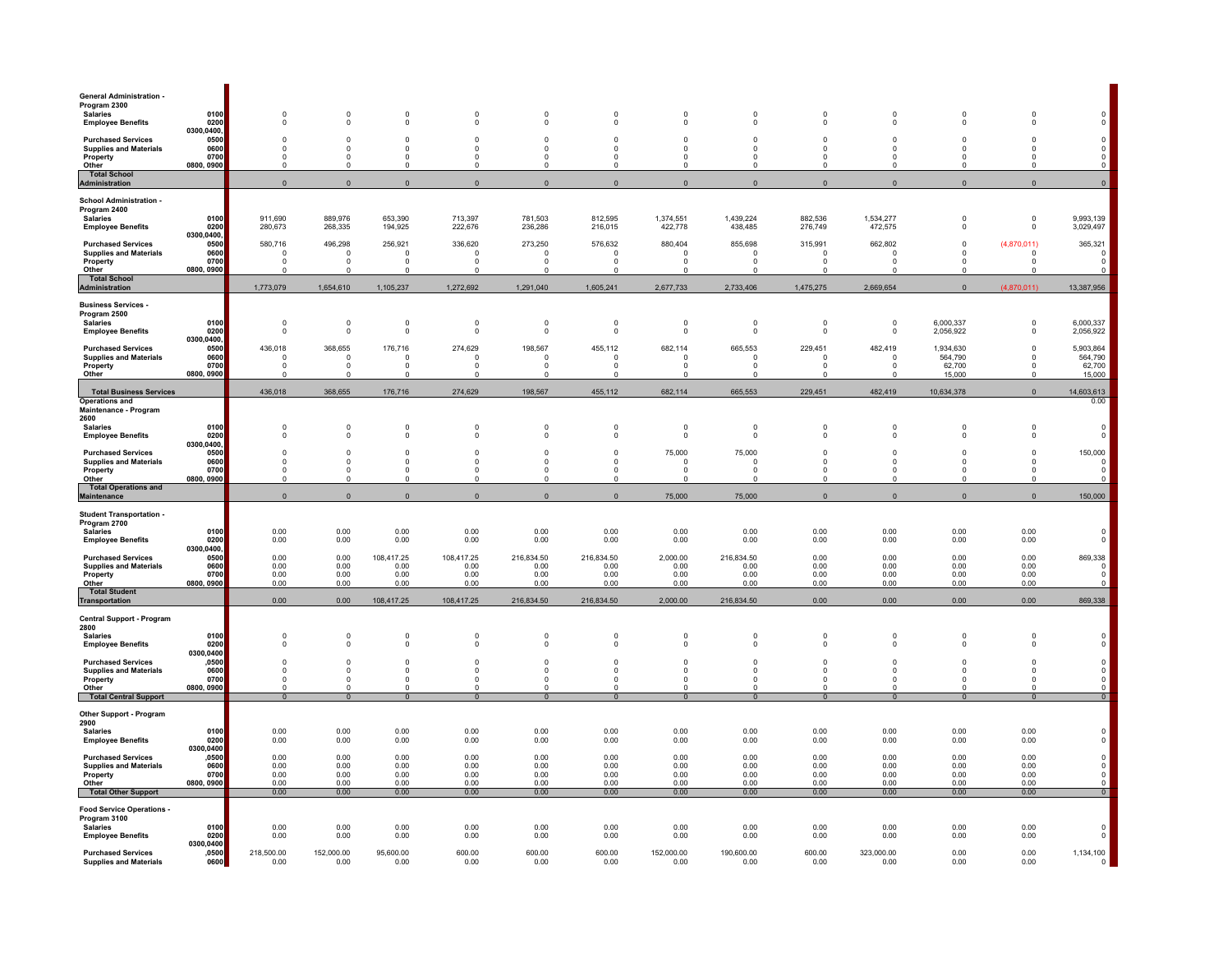| <b>General Administration -</b><br>Program 2300                        |                            |                                       |                              |                                           |                                        |                                        |                                        |                                       |                                        |                                      |                                      |                                        |                                        |                                                          |
|------------------------------------------------------------------------|----------------------------|---------------------------------------|------------------------------|-------------------------------------------|----------------------------------------|----------------------------------------|----------------------------------------|---------------------------------------|----------------------------------------|--------------------------------------|--------------------------------------|----------------------------------------|----------------------------------------|----------------------------------------------------------|
| <b>Salaries</b><br><b>Employee Benefits</b>                            | 0100<br>0200               | $\Omega$<br>$^{\circ}$                | $\Omega$<br>0                | $\Omega$<br>$\mathbf 0$                   | $\Omega$<br>$\mathbf 0$                | $\Omega$<br>0                          | $\Omega$<br>0                          | $\Omega$<br>$^{\circ}$                | $\Omega$<br>0                          | $\Omega$<br>$^{\circ}$               | $\Omega$<br>$^{\circ}$               | $\Omega$<br>$\mathbf 0$                | $\overline{0}$<br>0                    | $^{\circ}$                                               |
| <b>Purchased Services</b><br><b>Supplies and Materials</b>             | 0300,0400,<br>0500<br>0600 | $\Omega$<br>$\Omega$                  | $\mathbf 0$<br>$\Omega$      | $\mathbf 0$<br>$\Omega$                   | $\mathbf 0$<br>$\Omega$                | $\mathbf 0$<br>$\Omega$                | $\mathbf 0$<br>$\Omega$                | $\Omega$<br>$\Omega$                  | $\Omega$<br>$\Omega$                   | $\Omega$<br>$\Omega$                 | $\Omega$<br>$\Omega$                 | $\Omega$<br>$\Omega$                   | $\mathbf 0$<br>$\Omega$                | $\mathbf 0$                                              |
| Property<br>Other                                                      | 0700<br>0800, 0900         | $\Omega$<br>$\Omega$                  | $\Omega$<br>$\Omega$         | $\Omega$<br>$\Omega$                      | $\Omega$<br>$\Omega$                   | $\Omega$<br>$\Omega$                   | $\mathbf 0$<br>$\Omega$                | $\Omega$<br>$\Omega$                  | $\Omega$<br>$\Omega$                   | $\Omega$                             | $\Omega$<br>$\Omega$                 | $\Omega$<br>$\Omega$                   | $\Omega$<br>$\Omega$                   | $\begin{matrix} 0 \\ 0 \\ 0 \end{matrix}$                |
| <b>Total School</b><br>Administration                                  |                            | $\mathbf{0}$                          | $\overline{0}$               | $\mathbf{0}$                              | $\overline{0}$                         | $\mathbf{0}$                           | $\mathbf{0}$                           | $\mathbf{0}$                          | $\mathbf{0}$                           | $\mathbf{0}$                         | $\overline{0}$                       | $\mathbf{0}$                           | $\mathbf{0}$                           | $\mathbf 0$                                              |
| <b>School Administration -</b>                                         |                            |                                       |                              |                                           |                                        |                                        |                                        |                                       |                                        |                                      |                                      |                                        |                                        |                                                          |
| Program 2400<br><b>Salaries</b>                                        | 0100<br>0200               | 911,690<br>280,673                    | 889,976<br>268,335           | 653,390<br>194,925                        | 713,397<br>222,676                     | 781,503<br>236,286                     | 812,595<br>216,015                     | 1,374,551<br>422,778                  | 1,439,224<br>438,485                   | 882,536<br>276,749                   | 1,534,277<br>472,575                 | $\mathsf 0$<br>$\mathbf 0$             | $\mathbf 0$<br>0                       | 9,993,139<br>3,029,497                                   |
| <b>Employee Benefits</b><br><b>Purchased Services</b>                  | 0300,0400,<br>0500         | 580,716                               | 496,298                      | 256,921                                   | 336,620                                | 273,250                                | 576,632                                | 880,404                               | 855,698                                | 315,991                              | 662,802                              | $\mathbf 0$                            | (4,870,011)                            | 365,321                                                  |
| <b>Supplies and Materials</b><br>Property                              | 0600<br>0700               | $\Omega$<br>$\Omega$                  | $\Omega$<br>$^{\circ}$       | $\Omega$<br>$^{\circ}$                    | $\Omega$<br>$\Omega$                   | $\Omega$<br>$\Omega$                   | $\Omega$<br>$\Omega$                   | $\Omega$<br>$\Omega$                  | $\Omega$<br>$\Omega$                   | $\Omega$<br>$\Omega$                 | - 0<br>$\Omega$                      | $\Omega$<br>$\Omega$                   | $\Omega$<br>$\Omega$                   | $\Omega$<br>$^{\circ}$                                   |
| Other<br><b>Total School</b>                                           | 0800, 0900                 | $\Omega$                              | $\mathbf 0$                  | $^{\circ}$                                | $\Omega$                               | $\mathbf 0$                            | $\mathbf 0$                            | $\Omega$                              | $\Omega$                               |                                      |                                      | $^{\circ}$                             | $\mathbf 0$                            |                                                          |
| <b>Administration</b><br><b>Business Services -</b>                    |                            | 1,773,079                             | 1,654,610                    | 1,105,237                                 | 1,272,692                              | 1,291,040                              | 1,605,241                              | 2,677,733                             | 2,733,406                              | 1,475,275                            | 2,669,654                            | $\Omega$                               | (4,870,011)                            | 13,387,956                                               |
| Program 2500<br><b>Salaries</b>                                        | 0100                       | $^{\circ}$                            | $\mathbf 0$                  | $\mathbf 0$                               | $\mathbf 0$                            | $\mathbf 0$                            | $\mathbf 0$                            | $\overline{0}$                        | $\mathbf 0$                            | $^{\circ}$                           | $^{\circ}$                           | 6,000,337                              | 0                                      | 6,000,337                                                |
| <b>Employee Benefits</b>                                               | 0200<br>0300,0400,         | $\Omega$                              | $\mathbf 0$                  | $\overline{0}$                            | $\mathbf 0$                            | $\mathbf 0$                            | $\mathbf 0$                            | $\Omega$                              | $\Omega$                               | $\Omega$                             | $\Omega$                             | 2,056,922                              | $\mathbf 0$                            | 2,056,922                                                |
| <b>Purchased Services</b><br><b>Supplies and Materials</b>             | 0500<br>0600               | 436,018<br>$\Omega$                   | 368,655<br>$\mathbf 0$       | 176,716<br>$\Omega$                       | 274,629<br>$\Omega$                    | 198,567<br>$\mathbf 0$                 | 455,112<br>$\mathbf 0$                 | 682,114<br>$\Omega$                   | 665,553<br>$\Omega$                    | 229,451<br>- 0                       | 482,419<br>- 0                       | 1,934,630<br>564,790                   | $\mathbf 0$<br>$\Omega$                | 5,903,864<br>564,790                                     |
| Property<br>Other                                                      | 0700<br>0800, 0900         | $\Omega$<br>$\Omega$                  | $\Omega$<br>$\Omega$         | $\Omega$<br>$\Omega$                      | $\Omega$<br>$\Omega$                   | $\Omega$<br>$\Omega$                   | $\Omega$<br>$\Omega$                   | $\Omega$<br>n                         | $\Omega$<br>$\Omega$                   | $\Omega$<br>- 0                      | $\Omega$<br>$\Omega$                 | 62,700<br>15.000                       | $\Omega$<br>$\Omega$                   | $62,700$<br>15,000                                       |
| <b>Total Business Services</b><br><b>Operations and</b>                |                            | 436,018                               | 368,655                      | 176,716                                   | 274,629                                | 198,567                                | 455,112                                | 682,114                               | 665,553                                | 229,451                              | 482,419                              | 10,634,378                             | $\Omega$                               | 14,603,613<br>0.00                                       |
| Maintenance - Program<br>2600                                          |                            |                                       |                              |                                           |                                        |                                        |                                        |                                       |                                        |                                      |                                      |                                        |                                        |                                                          |
| <b>Salaries</b><br><b>Employee Benefits</b>                            | 0100<br>0200               | $\Omega$<br>$\Omega$                  | $\mathbf 0$<br>$\mathbf 0$   | $\overline{0}$<br>$\mathbf 0$             | $\mathbf 0$<br>$\mathbf 0$             | $\pmb{0}$<br>$\mathbf 0$               | $\pmb{0}$<br>$\mathbf 0$               | $\mathbf 0$<br>$\mathbf 0$            | $\mathbf 0$<br>$\Omega$                | $\Omega$<br>$\Omega$                 | $\Omega$<br>$\Omega$                 | $\Omega$<br>$\mathbf 0$                | $\Omega$<br>$\mathbf 0$                | $\mathbf 0$<br>$\mathbf 0$                               |
| <b>Purchased Services</b>                                              | 0300,0400,<br>0500         | $\Omega$                              | $\Omega$                     | $\mathbf 0$                               | $\Omega$<br>$\mathbf 0$                | $\Omega$<br>$\mathbf 0$                | $\Omega$<br>$\mathbf 0$                | 75,000                                | 75,000                                 | $\Omega$                             | $\Omega$                             | $\Omega$                               | $\Omega$                               | 150,000                                                  |
| <b>Supplies and Materials</b><br>Property<br>Other                     | 0600<br>0700<br>0800, 0900 | $^{\circ}$<br>$^{\circ}$<br>$\Omega$  | 0<br>$^{\circ}$<br>$\Omega$  | $\mathbf 0$<br>$\overline{0}$<br>$\Omega$ | $\mathbf 0$<br>$\Omega$                | $\mathbf 0$<br>$\Omega$                | $^{\circ}$<br>$\Omega$                 | $\mathbf 0$<br>$^{\circ}$<br>$\Omega$ | $\mathbf 0$<br>$\mathbf 0$<br>$\Omega$ | $^{\circ}$<br>$^{\circ}$<br>$\Omega$ | $^{\circ}$<br>$^{\circ}$<br>$\Omega$ | $\mathbf 0$<br>$\mathbf 0$<br>$\Omega$ | $\mathbf 0$<br>$^{\circ}$<br>$\Omega$  | $^{\circ}$<br>$\mathbf 0$<br>$\Omega$                    |
| <b>Total Operations and</b><br><b>Maintenance</b>                      |                            | $\mathbf 0$                           | $\mathbf 0$                  | $\mathbf 0$                               | $\mathbf 0$                            | $\mathbf 0$                            | $\mathbf 0$                            | 75,000                                | 75,000                                 | $\mathbf 0$                          | $\mathbf 0$                          | $\mathbf 0$                            | $\mathbf 0$                            | 150,000                                                  |
| <b>Student Transportation -</b>                                        |                            |                                       |                              |                                           |                                        |                                        |                                        |                                       |                                        |                                      |                                      |                                        |                                        |                                                          |
| Program 2700<br><b>Salaries</b><br><b>Employee Benefits</b>            | 0100<br>0200               | 0.00<br>0.00                          | 0.00<br>0.00                 | 0.00<br>0.00                              | 0.00<br>0.00                           | 0.00<br>0.00                           | 0.00<br>0.00                           | 0.00<br>0.00                          | 0.00<br>0.00                           | 0.00<br>0.00                         | 0.00<br>0.00                         | 0.00<br>0.00                           | 0.00<br>0.00                           |                                                          |
| <b>Purchased Services</b>                                              | 0300,0400,<br>0500         | 0.00                                  | 0.00                         | 108,417.25                                | 108,417.25                             | 216,834.50                             | 216,834.50                             | 2,000.00                              | 216,834.50                             | 0.00                                 | 0.00                                 | 0.00                                   | 0.00                                   | 869,338                                                  |
| <b>Supplies and Materials</b><br>Property                              | 0600<br>0700               | 0.00<br>0.00                          | 0.00<br>0.00                 | 0.00<br>0.00                              | 0.00<br>0.00                           | 0.00<br>0.00                           | 0.00<br>0.00                           | 0.00<br>0.00                          | 0.00<br>0.00                           | 0.00<br>0.00                         | 0.00<br>0.00                         | 0.00<br>0.00                           | 0.00<br>0.00                           | $\mathbf 0$<br>$\mathbf 0$                               |
| Other<br><b>Total Student</b>                                          | 0800, 0900                 | 0.00                                  | 0.00                         | 0.00                                      | 0.00                                   | 0.00                                   | 0.00                                   | 0.00                                  | 0.00                                   | 0.00                                 | 0.00                                 | 0.00                                   | 0.00                                   | $\Omega$                                                 |
| Transportation<br>Central Support - Program                            |                            | 0.00                                  | 0.00                         | 108,417.25                                | 108,417.25                             | 216,834.50                             | 216,834.50                             | 2,000.00                              | 216,834.50                             | 0.00                                 | 0.00                                 | 0.00                                   | 0.00                                   | 869,338                                                  |
| 2800<br><b>Salaries</b>                                                | 0100                       | $\Omega$                              | $\mathbf 0$                  | $\mathbf 0$                               | $\Omega$                               | $\Omega$                               | $\Omega$                               | $\Omega$                              | $\Omega$                               | $\Omega$                             | $\Omega$                             | $\Omega$                               | $\Omega$                               |                                                          |
| <b>Employee Benefits</b>                                               | 0200<br>0300,0400          | $\Omega$                              | $^{\circ}$                   | 0                                         | $^{\circ}$                             | $^{\circ}$                             | 0                                      | $^{\circ}$                            | $\Omega$                               | $\Omega$                             | 0                                    | $^{\circ}$                             | 0                                      |                                                          |
| <b>Purchased Services</b><br><b>Supplies and Materials</b>             | ,0500<br>0600              | $\Omega$<br>$\Omega$                  | $\mathbf 0$<br>$\Omega$      | $\mathbf 0$<br>$\Omega$<br>$\mathbf 0$    | $\mathbf 0$<br>$\Omega$<br>$\mathbf 0$ | $\mathbf 0$<br>$\Omega$<br>$\mathbf 0$ | $\mathbf 0$<br>$\Omega$<br>$\mathbf 0$ | $^{\circ}$<br>$\Omega$<br>$\Omega$    | $\Omega$<br>$\Omega$<br>$\Omega$       | $\Omega$<br>$\Omega$<br>$\Omega$     | $\Omega$<br>$\Omega$<br>$\Omega$     | $\Omega$<br>$\Omega$<br>$\Omega$       | $\mathbf 0$<br>$\Omega$<br>$\mathbf 0$ | $\mathbf 0$<br>$\begin{matrix} 0 \\ 0 \\ 0 \end{matrix}$ |
| Property<br>Other<br><b>Total Central Support</b>                      | 0700<br>0800, 0900         | $\mathsf 0$<br>$^{\circ}$<br>$\Omega$ | $\mathbf 0$<br>0<br>$\Omega$ | 0<br>$\Omega$                             | $\mathbf 0$<br>$\Omega$                | $\mathbf 0$<br>$\Omega$                | $\mathbf 0$<br>$\Omega$                | $\Omega$                              | $\Omega$                               | $\Omega$                             | $\Omega$                             | $\Omega$                               | 0<br>$\Omega$                          | $\overline{0}$                                           |
| Other Support - Program                                                |                            |                                       |                              |                                           |                                        |                                        |                                        |                                       |                                        |                                      |                                      |                                        |                                        |                                                          |
| 2900<br><b>Salaries</b>                                                | 0100                       | 0.00                                  | 0.00                         | 0.00                                      | 0.00                                   | 0.00                                   | 0.00                                   | 0.00                                  | 0.00                                   | 0.00                                 | 0.00                                 | 0.00                                   | 0.00                                   |                                                          |
| <b>Employee Benefits</b>                                               | 0200<br>0300,0400<br>,0500 | 0.00<br>0.00                          | 0.00<br>0.00                 | 0.00<br>0.00                              | 0.00<br>0.00                           | 0.00<br>0.00                           | 0.00<br>0.00                           | 0.00<br>0.00                          | 0.00<br>0.00                           | 0.00<br>0.00                         | 0.00<br>0.00                         | 0.00<br>0.00                           | 0.00<br>0.00                           | $\mathbf 0$                                              |
| <b>Purchased Services</b><br><b>Supplies and Materials</b><br>Property | 0600<br>0700               | 0.00<br>0.00                          | 0.00<br>0.00                 | 0.00<br>0.00                              | 0.00<br>0.00                           | 0.00<br>0.00                           | 0.00<br>0.00                           | 0.00<br>0.00                          | 0.00<br>0.00                           | 0.00<br>0.00                         | 0.00<br>0.00                         | 0.00<br>0.00                           | 0.00<br>0.00                           | $\begin{matrix} 0 \\ 0 \\ 0 \end{matrix}$                |
| Other<br><b>Total Other Support</b>                                    | 0800, 0900                 | 0.00<br>0.00                          | 0.00<br>0.00                 | 0.00<br>0.00                              | 0.00<br>0.00                           | 0.00<br>0.00                           | 0.00<br>0.00                           | 0.00<br>0.00                          | 0.00<br>0.00                           | 0.00<br>0.00                         | 0.00<br>0.00                         | 0.00<br>0.00                           | 0.00<br>0.00                           |                                                          |
| <b>Food Service Operations -</b>                                       |                            |                                       |                              |                                           |                                        |                                        |                                        |                                       |                                        |                                      |                                      |                                        |                                        |                                                          |
| Program 3100<br><b>Salaries</b><br><b>Employee Benefits</b>            | 0100<br>0200               | 0.00<br>0.00                          | 0.00<br>0.00                 | 0.00<br>0.00                              | 0.00<br>0.00                           | 0.00<br>0.00                           | 0.00<br>0.00                           | 0.00<br>0.00                          | 0.00<br>0.00                           | 0.00<br>0.00                         | 0.00<br>0.00                         | 0.00<br>0.00                           | 0.00<br>0.00                           | $\Omega$                                                 |
| <b>Purchased Services</b>                                              | 0300,0400<br>,0500         | 218,500.00                            | 152,000.00                   | 95,600.00                                 | 600.00                                 | 600.00                                 | 600.00                                 | 152,000.00                            | 190,600.00                             | 600.00                               | 323,000.00                           | 0.00                                   | 0.00                                   |                                                          |
| <b>Supplies and Materials</b>                                          | 0600                       | 0.00                                  | 0.00                         | 0.00                                      | 0.00                                   | 0.00                                   | 0.00                                   | 0.00                                  | 0.00                                   | 0.00                                 | 0.00                                 | 0.00                                   | 0.00                                   | $1,134,100$<br>0                                         |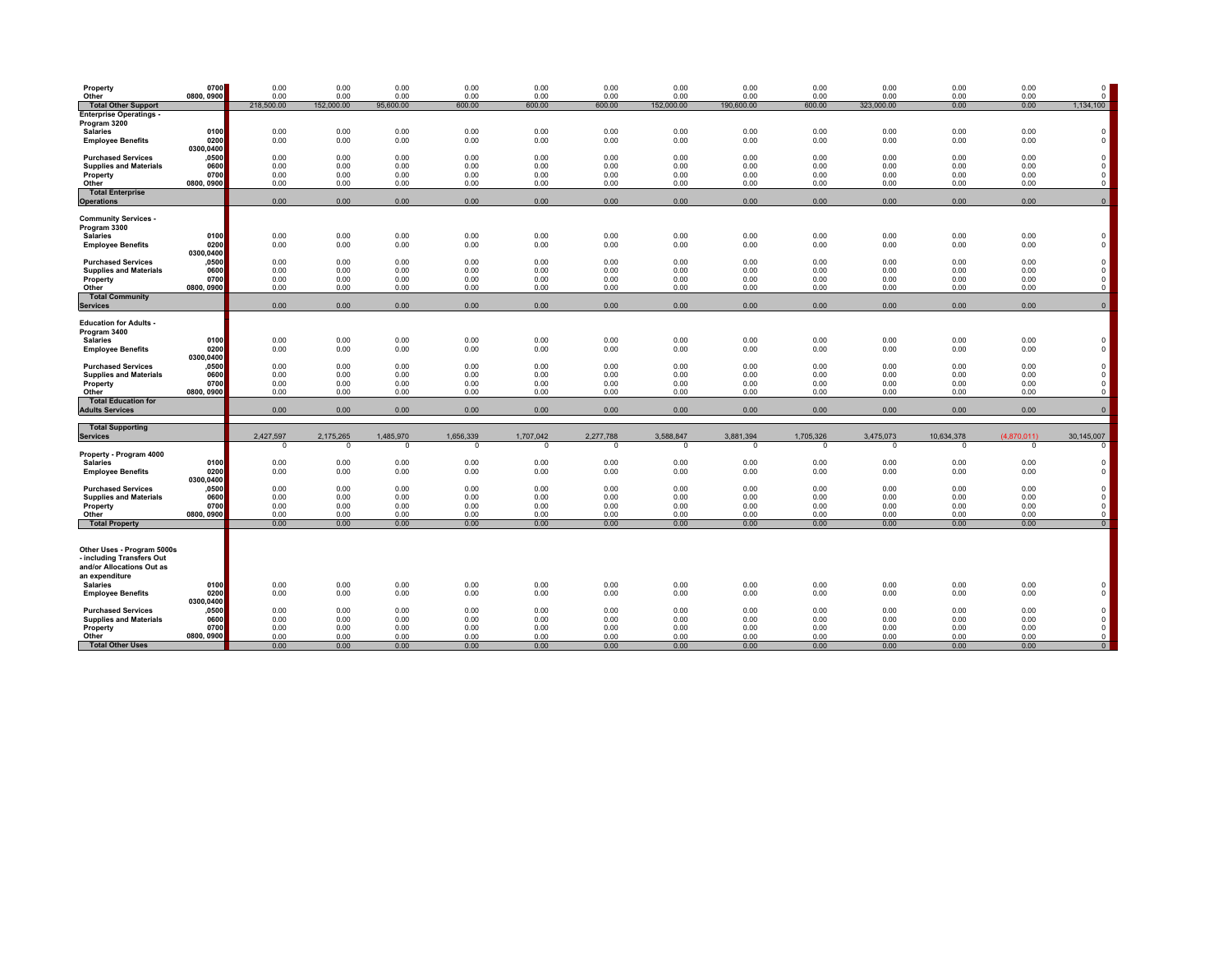| Property<br>Other                                                                                      | 0700<br>0800, 0900         | 0.00<br>0.00            | 0.00<br>0.00         | 0.00<br>0.00            | 0.00<br>0.00         | 0.00<br>0.00          | 0.00<br>0.00          | 0.00<br>0.00         | 0.00<br>0.00            | 0.00<br>0.00          | 0.00<br>0.00          | 0.00<br>0.00           | 0.00<br>0.00            | $\Omega$<br>$\mathbf{0}$                    |
|--------------------------------------------------------------------------------------------------------|----------------------------|-------------------------|----------------------|-------------------------|----------------------|-----------------------|-----------------------|----------------------|-------------------------|-----------------------|-----------------------|------------------------|-------------------------|---------------------------------------------|
| <b>Total Other Support</b>                                                                             |                            | 218,500.00              | 152.000.00           | 95.600.00               | 600.00               | 600.00                | 600.00                | 152,000.00           | 190,600.00              | 600.00                | 323,000.00            | 0.00                   | 0.00                    | 1,134,100                                   |
| <b>Enterprise Operatings -</b><br>Program 3200                                                         |                            |                         |                      |                         |                      |                       |                       |                      |                         |                       |                       |                        |                         |                                             |
| <b>Salaries</b><br><b>Employee Benefits</b>                                                            | 0100<br>0200<br>0300.0400  | 0.00<br>0.00            | 0.00<br>0.00         | 0.00<br>0.00            | 0.00<br>0.00         | 0.00<br>0.00          | 0.00<br>0.00          | 0.00<br>0.00         | 0.00<br>0.00            | 0.00<br>0.00          | 0.00<br>0.00          | 0.00<br>0.00           | 0.00<br>0.00            | $\Omega$<br>$\Omega$                        |
| <b>Purchased Services</b><br><b>Supplies and Materials</b>                                             | ,0500<br>0600              | 0.00<br>0.00            | 0.00<br>0.00         | 0.00<br>0.00            | 0.00<br>0.00         | 0.00<br>0.00          | 0.00<br>0.00          | 0.00<br>0.00         | 0.00<br>0.00            | 0.00<br>0.00          | 0.00<br>0.00          | 0.00<br>0.00           | 0.00<br>0.00            | $\mathbf 0$<br>$\mathbf{0}$                 |
| Property<br>Other                                                                                      | 0700<br>0800, 0900         | 0.00<br>0.00            | 0.00<br>0.00         | 0.00<br>0.00            | 0.00<br>0.00         | 0.00<br>0.00          | 0.00<br>0.00          | 0.00<br>0.00         | 0.00<br>0.00            | 0.00<br>0.00          | 0.00<br>0.00          | 0.00<br>0.00           | 0.00<br>0.00            | $\Omega$<br>$\mathbf 0$                     |
| <b>Total Enterprise</b><br><b>Operations</b>                                                           |                            | 0.00                    | 0.00                 | 0.00                    | 0.00                 | 0.00                  | 0.00                  | 0.00                 | 0.00                    | 0.00                  | 0.00                  | 0.00                   | 0.00                    | $\mathbf 0$                                 |
| <b>Community Services -</b><br>Program 3300                                                            |                            |                         |                      |                         |                      |                       |                       |                      |                         |                       |                       |                        |                         |                                             |
| <b>Salaries</b><br><b>Employee Benefits</b>                                                            | 0100<br>0200               | 0.00<br>0.00            | 0.00<br>0.00         | 0.00<br>0.00            | 0.00<br>0.00         | 0.00<br>0.00          | 0.00<br>0.00          | 0.00<br>0.00         | 0.00<br>0.00            | 0.00<br>0.00          | 0.00<br>0.00          | 0.00<br>0.00           | 0.00<br>0.00            | $\Omega$<br>$\Omega$                        |
| <b>Purchased Services</b>                                                                              | 0300.0400<br>,0500<br>0600 | 0.00<br>0.00            | 0.00<br>0.00         | 0.00<br>0.00            | 0.00<br>0.00         | 0.00<br>0.00          | 0.00<br>0.00          | 0.00<br>0.00         | 0.00<br>0.00            | 0.00<br>0.00          | 0.00<br>0.00          | 0.00<br>0.00           | 0.00<br>0.00            | $\Omega$<br>$\Omega$                        |
| <b>Supplies and Materials</b><br>Property<br>Other                                                     | 0700<br>0800, 0900         | 0.00<br>0.00            | 0.00<br>0.00         | 0.00<br>0.00            | 0.00<br>0.00         | 0.00<br>0.00          | 0.00<br>0.00          | 0.00<br>0.00         | 0.00<br>0.00            | 0.00<br>0.00          | 0.00<br>0.00          | 0.00<br>0.00           | 0.00<br>0.00            | $\mathbf 0$<br>$\circ$                      |
| <b>Total Community</b><br><b>Services</b>                                                              |                            | 0.00                    | 0.00                 | 0.00                    | 0.00                 | 0.00                  | 0.00                  | 0.00                 | 0.00                    | 0.00                  | 0.00                  | 0.00                   | 0.00                    | $\mathbf{0}$                                |
| <b>Education for Adults -</b><br>Program 3400                                                          |                            |                         |                      |                         |                      |                       |                       |                      |                         |                       |                       |                        |                         |                                             |
| <b>Salaries</b><br><b>Employee Benefits</b>                                                            | 0100<br>0200               | 0.00<br>0.00            | 0.00<br>0.00         | 0.00<br>0.00            | 0.00<br>0.00         | 0.00<br>0.00          | 0.00<br>0.00          | 0.00<br>0.00         | 0.00<br>0.00            | 0.00<br>0.00          | 0.00<br>0.00          | 0.00<br>0.00           | 0.00<br>0.00            | $\Omega$<br>$\Omega$                        |
| <b>Purchased Services</b>                                                                              | 0300.0400<br>,0500         | 0.00                    | 0.00                 | 0.00                    | 0.00                 | 0.00                  | 0.00                  | 0.00                 | 0.00                    | 0.00                  | 0.00                  | 0.00                   | 0.00                    | $\Omega$                                    |
| <b>Supplies and Materials</b><br>Property<br>Other                                                     | 0600<br>0700<br>0800, 0900 | 0.00<br>0.00<br>0.00    | 0.00<br>0.00<br>0.00 | 0.00<br>0.00<br>0.00    | 0.00<br>0.00<br>0.00 | 0.00<br>0.00<br>0.00  | 0.00<br>0.00<br>0.00  | 0.00<br>0.00<br>0.00 | 0.00<br>0.00<br>0.00    | 0.00<br>0.00<br>0.00  | 0.00<br>0.00<br>0.00  | 0.00<br>0.00<br>0.00   | 0.00<br>0.00<br>0.00    | $\mathbf{0}$<br>$\mathbf{0}$<br>$\mathbf 0$ |
| <b>Total Education for</b><br><b>Adults Services</b>                                                   |                            | 0.00                    | 0.00                 | 0.00                    | 0.00                 | 0.00                  | 0.00                  | 0.00                 | 0.00                    | 0.00                  | 0.00                  | 0.00                   | 0.00                    | $\mathbf{0}$                                |
| <b>Total Supporting</b>                                                                                |                            |                         |                      |                         |                      |                       |                       |                      |                         |                       |                       |                        |                         |                                             |
| <b>Services</b>                                                                                        |                            | 2,427,597<br>$^{\circ}$ | 2,175,265<br>0       | 1.485.970<br>$^{\circ}$ | 1.656.339<br>0       | 1.707.042<br>$\Omega$ | 2,277,788<br>$\Omega$ | 3.588.847<br>0       | 3.881.394<br>$^{\circ}$ | 1.705.326<br>$\Omega$ | 3,475,073<br>$\Omega$ | 10.634.378<br>$\Omega$ | (4.870.011)<br>$\Omega$ | 30,145,007<br>$^{\circ}$                    |
| Property - Program 4000<br><b>Salaries</b>                                                             | 0100                       | 0.00                    | 0.00                 | 0.00                    | 0.00                 | 0.00                  | 0.00                  | 0.00                 | 0.00                    | 0.00                  | 0.00                  | 0.00                   | 0.00                    | $\Omega$                                    |
| <b>Employee Benefits</b>                                                                               | 0200<br>0300,0400          | 0.00                    | 0.00                 | 0.00                    | 0.00                 | 0.00                  | 0.00                  | 0.00                 | 0.00                    | 0.00                  | 0.00                  | 0.00                   | 0.00                    | $\Omega$                                    |
| <b>Purchased Services</b><br><b>Supplies and Materials</b>                                             | ,0500<br>0600<br>0700      | 0.00<br>0.00            | 0.00<br>0.00<br>0.00 | 0.00<br>0.00            | 0.00<br>0.00         | 0.00<br>0.00          | 0.00<br>0.00          | 0.00<br>0.00         | 0.00<br>0.00            | 0.00<br>0.00          | 0.00<br>0.00          | 0.00<br>0.00           | 0.00<br>0.00            | $\Omega$<br>$\Omega$<br>$\Omega$            |
| Property<br>Other                                                                                      | 0800, 0900                 | 0.00<br>0.00            | 0.00                 | 0.00<br>0.00            | 0.00<br>0.00         | 0.00<br>0.00          | 0.00<br>0.00          | 0.00<br>0.00         | 0.00<br>0.00            | 0.00<br>0.00          | 0.00<br>0.00          | 0.00<br>0.00           | 0.00<br>0.00            | $\mathbf 0$                                 |
| <b>Total Property</b>                                                                                  |                            | 0.00                    | 0.00                 | 0.00                    | 0.00                 | 0.00                  | 0.00                  | 0.00                 | 0.00                    | 0.00                  | 0.00                  | 0.00                   | 0.00                    | 0                                           |
| Other Uses - Program 5000s<br>- including Transfers Out<br>and/or Allocations Out as<br>an expenditure |                            |                         |                      |                         |                      |                       |                       |                      |                         |                       |                       |                        |                         |                                             |
| <b>Salaries</b><br><b>Employee Benefits</b>                                                            | 0100<br>0200<br>0300,0400  | 0.00<br>0.00            | 0.00<br>0.00         | 0.00<br>0.00            | 0.00<br>0.00         | 0.00<br>0.00          | 0.00<br>0.00          | 0.00<br>0.00         | 0.00<br>0.00            | 0.00<br>0.00          | 0.00<br>0.00          | 0.00<br>0.00           | 0.00<br>0.00            | $\Omega$<br>$\Omega$                        |
| <b>Purchased Services</b><br><b>Supplies and Materials</b><br>Property                                 | ,0500<br>0600<br>0700      | 0.00<br>0.00<br>0.00    | 0.00<br>0.00<br>0.00 | 0.00<br>0.00<br>0.00    | 0.00<br>0.00<br>0.00 | 0.00<br>0.00<br>0.00  | 0.00<br>0.00<br>0.00  | 0.00<br>0.00<br>0.00 | 0.00<br>0.00<br>0.00    | 0.00<br>0.00<br>0.00  | 0.00<br>0.00<br>0.00  | 0.00<br>0.00<br>0.00   | 0.00<br>0.00<br>0.00    | $\mathbf 0$<br>$^{\circ}$<br>$\mathbf 0$    |
| Other<br><b>Total Other Uses</b>                                                                       | 0800, 0900                 | 0.00<br>0.00            | 0.00<br>0.00         | 0.00<br>0.00            | 0.00<br>0.00         | 0.00<br>0.00          | 0.00<br>0.00          | 0.00<br>0.00         | 0.00<br>0.00            | 0.00<br>0.00          | 0.00<br>0.00          | 0.00<br>0.00           | 0.00<br>0.00            | $\mathbf 0$<br>$\overline{0}$               |